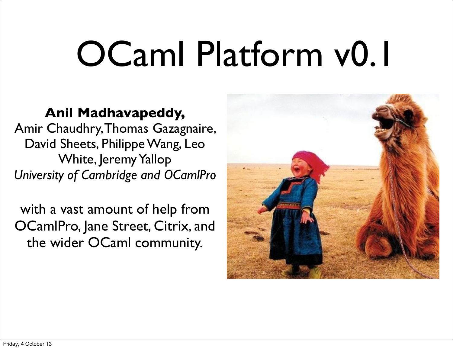# OCaml Platform v0.1

#### **Anil Madhavapeddy,**

Amir Chaudhry, Thomas Gazagnaire, David Sheets, Philippe Wang, Leo White, Jeremy Yallop *University of Cambridge and OCamlPro*

with a vast amount of help from OCamlPro, Jane Street, Citrix, and the wider OCaml community.

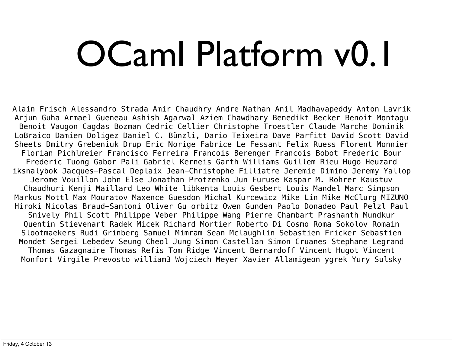# OCaml Platform v0.1

Alain Frisch Alessandro Strada Amir Chaudhry Andre Nathan Anil Madhavapeddy Anton Lavrik Arjun Guha Armael Gueneau Ashish Agarwal Aziem Chawdhary Benedikt Becker Benoit Montagu Benoit Vaugon Cagdas Bozman Cedric Cellier Christophe Troestler Claude Marche Dominik LoBraico Damien Doligez Daniel C. Bünzli, Dario Teixeira Dave Parfitt David Scott David Sheets Dmitry Grebeniuk Drup Eric Norige Fabrice Le Fessant Felix Ruess Florent Monnier Florian Pichlmeier Francisco Ferreira Francois Berenger Francois Bobot Frederic Bour Frederic Tuong Gabor Pali Gabriel Kerneis Garth Williams Guillem Rieu Hugo Heuzard iksnalybok Jacques-Pascal Deplaix Jean-Christophe Filliatre Jeremie Dimino Jeremy Yallop Jerome Vouillon John Else Jonathan Protzenko Jun Furuse Kaspar M. Rohrer Kaustuv Chaudhuri Kenji Maillard Leo White libkenta Louis Gesbert Louis Mandel Marc Simpson Markus Mottl Max Mouratov Maxence Guesdon Michal Kurcewicz Mike Lin Mike McClurg MIZUNO Hiroki Nicolas Braud-Santoni Oliver Gu orbitz Owen Gunden Paolo Donadeo Paul Pelzl Paul Snively Phil Scott Philippe Veber Philippe Wang Pierre Chambart Prashanth Mundkur Quentin Stievenart Radek Micek Richard Mortier Roberto Di Cosmo Roma Sokolov Romain Slootmaekers Rudi Grinberg Samuel Mimram Sean Mclaughlin Sebastien Fricker Sebastien Mondet Sergei Lebedev Seung Cheol Jung Simon Castellan Simon Cruanes Stephane Legrand Thomas Gazagnaire Thomas Refis Tom Ridge Vincent Bernardoff Vincent Hugot Vincent Monfort Virgile Prevosto william3 Wojciech Meyer Xavier Allamigeon ygrek Yury Sulsky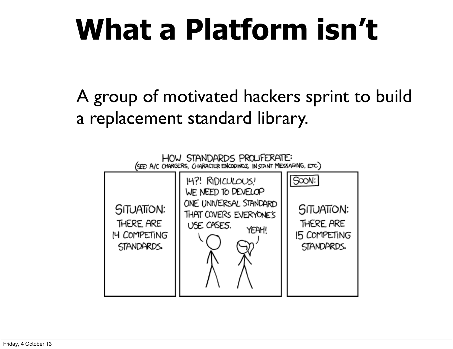#### **What a Platform isn't**

A group of motivated hackers sprint to build a replacement standard library.

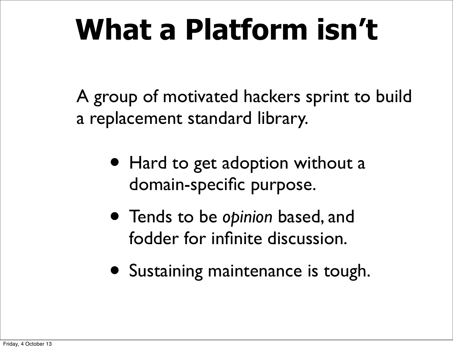#### **What a Platform isn't**

A group of motivated hackers sprint to build a replacement standard library.

- Hard to get adoption without a domain-specific purpose.
- Tends to be *opinion* based, and fodder for infinite discussion.
- Sustaining maintenance is tough.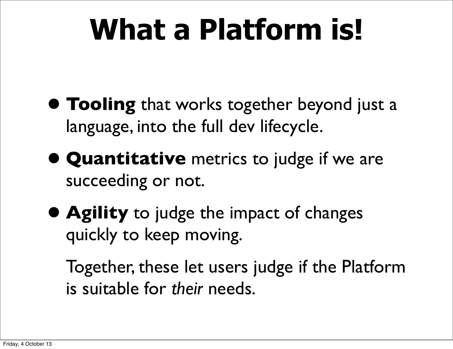#### **What a Platform is!**

- **• Tooling** that works together beyond just a language, into the full dev lifecycle.
- **• Quantitative** metrics to judge if we are succeeding or not.
- **• Agility** to judge the impact of changes quickly to keep moving.

Together, these let users judge if the Platform is suitable for *their* needs.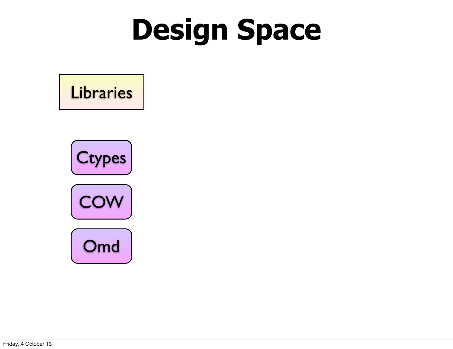### **Design Space**

#### **Libraries**

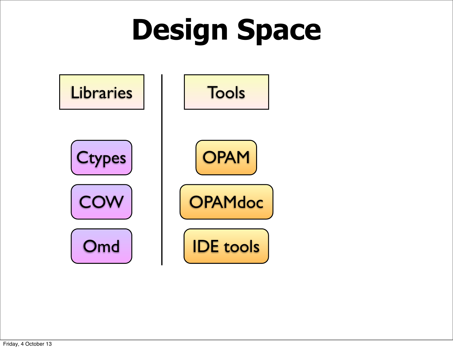## **Design Space**

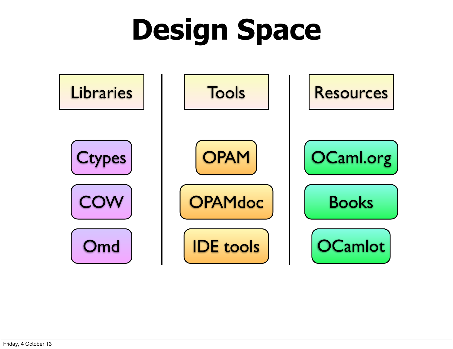## **Design Space**

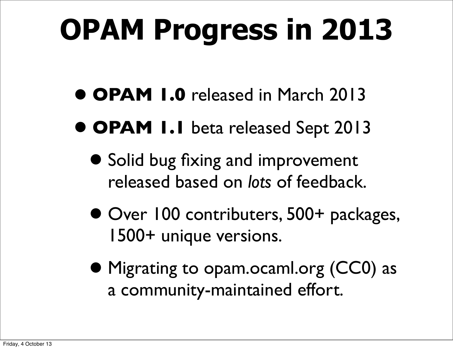## **OPAM Progress in 2013**

- **• OPAM 1.0** released in March 2013
- **• OPAM 1.1** beta released Sept 2013
	- **•** Solid bug fixing and improvement released based on *lots* of feedback.
	- **•** Over 100 contributers, 500+ packages, 1500+ unique versions.
	- **•** Migrating to opam.ocaml.org (CC0) as a community-maintained effort.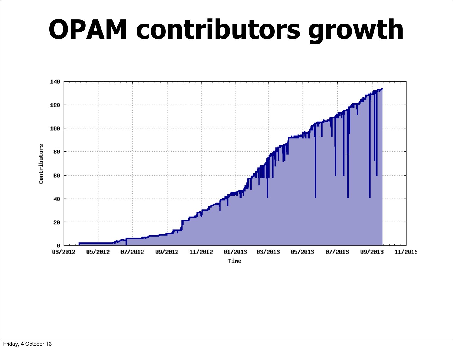#### **OPAM contributors growth**

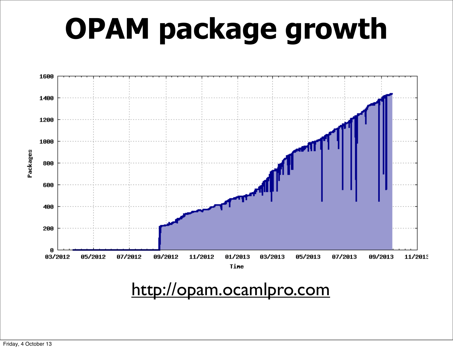### **OPAM package growth**



#### <http://opam.ocamlpro.com>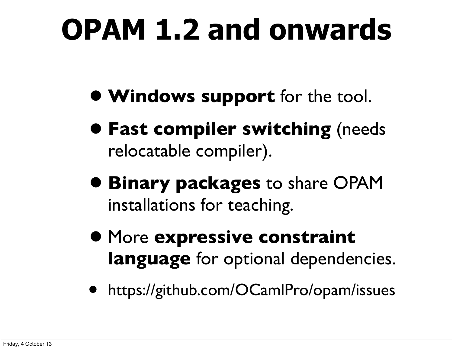### **OPAM 1.2 and onwards**

- **• Windows support** for the tool.
- **• Fast compiler switching** (needs relocatable compiler).
- **• Binary packages** to share OPAM installations for teaching.
- **•** More **expressive constraint language** for optional dependencies.
- https://github.com/OCamlPro/opam/issues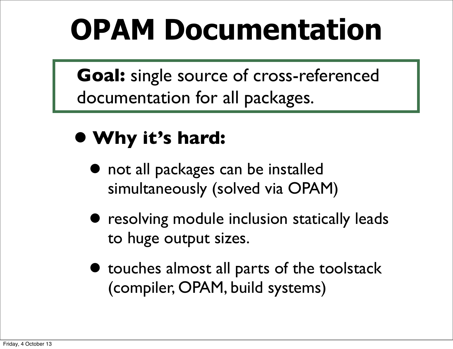#### **OPAM Documentation**

**Goal:** single source of cross-referenced documentation for all packages.

#### **• Why it's hard:**

- **•** not all packages can be installed simultaneously (solved via OPAM)
- **•** resolving module inclusion statically leads to huge output sizes.
- **•** touches almost all parts of the toolstack (compiler, OPAM, build systems)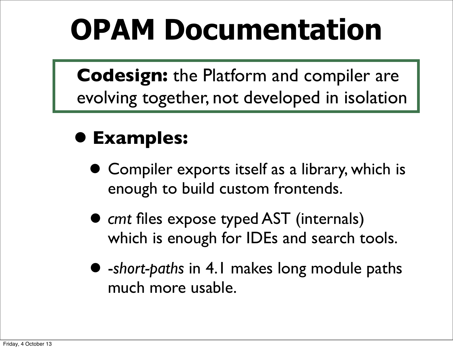#### **OPAM Documentation**

**Codesign:** the Platform and compiler are evolving together, not developed in isolation

#### **• Examples:**

- **•** Compiler exports itself as a library, which is enough to build custom frontends.
- *• cmt* files expose typed AST (internals) which is enough for IDEs and search tools.
- *•* -*short-paths* in 4.1 makes long module paths much more usable.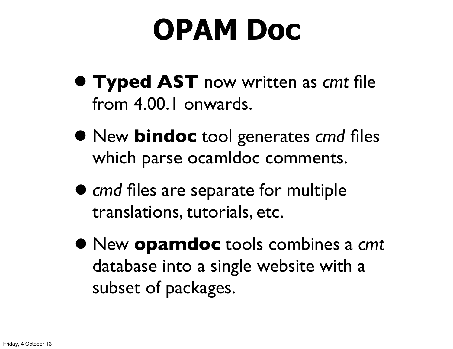#### **OPAM Doc**

- **• Typed AST** now written as *cmt* file from 4.00.1 onwards.
- **•** New **bindoc** tool generates *cmd* files which parse ocamldoc comments.
- *• cmd* files are separate for multiple translations, tutorials, etc.
- *•* New **opamdoc** tools combines a *cmt* database into a single website with a subset of packages.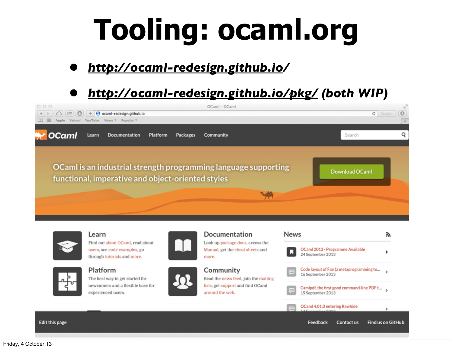### **Tooling: ocaml.org**

#### *• [http://ocaml-redesign.github.io/](http://ocaml-redesign.github.io)*

#### *• [http://ocaml-redesign.github.io/pkg/](http://ocaml-redesign.github.io/pkg/index.html) (both WIP)*





Learn Find out about OCaml, read about users, see code examples, go through tutorials and more.



Platform

The best way to get started for newcomers and a flexible base for experienced users.





Documentation

Community

Read the news feed, join the mailing lists, get support and find OCaml around the web.

| News                                                                                                                              |                                                                 |  |
|-----------------------------------------------------------------------------------------------------------------------------------|-----------------------------------------------------------------|--|
| IJ                                                                                                                                | OCaml 2013 - Programme Available<br>24 September 2013           |  |
| $\begin{array}{c} \begin{array}{c} \begin{array}{c} \begin{array}{c} \end{array} \end{array} \end{array} \end{array} \end{array}$ | Code layout of Fan (a metaprogramming to<br>16 September 2013   |  |
| $\equiv$                                                                                                                          | Camlpdf, the first good command-line PDF t<br>15 September 2013 |  |
| $\overline{CD}$                                                                                                                   | OCaml 4.01.0 entering Rawhide                                   |  |
|                                                                                                                                   | Feedback<br><b>Find us on GitH</b><br><b>Contact us</b>         |  |

**Edit this page**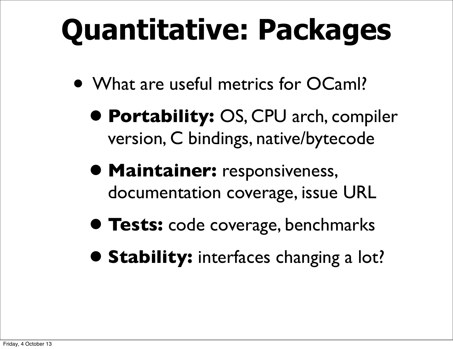## **Quantitative: Packages**

- What are useful metrics for OCaml?
	- **• Portability:** OS, CPU arch, compiler version, C bindings, native/bytecode
	- **• Maintainer:** responsiveness, documentation coverage, issue URL
	- **• Tests:** code coverage, benchmarks
	- **• Stability:** interfaces changing a lot?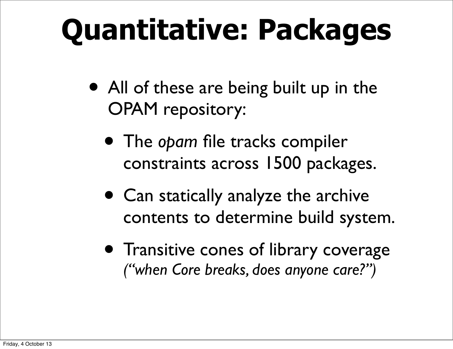## **Quantitative: Packages**

- All of these are being built up in the OPAM repository:
	- The *opam* file tracks compiler constraints across 1500 packages.
	- Can statically analyze the archive contents to determine build system.
	- Transitive cones of library coverage *("when Core breaks, does anyone care?")*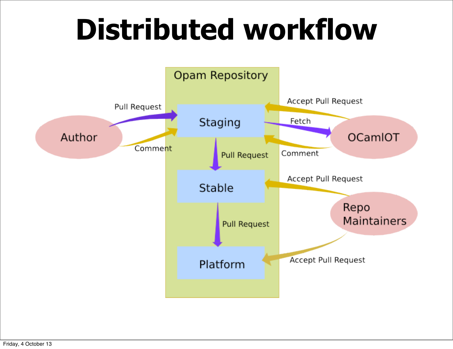#### **Distributed workflow**

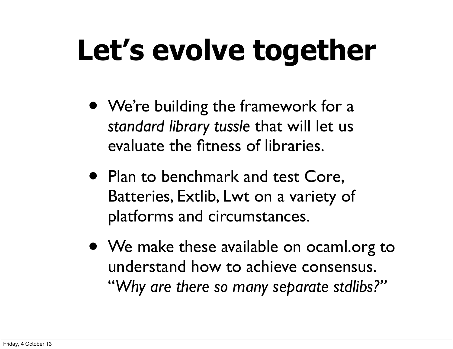## **Let's evolve together**

- We're building the framework for a *standard library tussle* that will let us evaluate the fitness of libraries.
- Plan to benchmark and test Core, Batteries, Extlib, Lwt on a variety of platforms and circumstances.
- We make these available on ocaml.org to understand how to achieve consensus. "*Why are there so many separate stdlibs?"*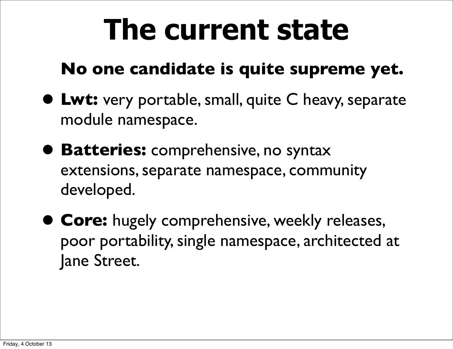#### **The current state**

#### **No one candidate is quite supreme yet.**

- **• Lwt:** very portable, small, quite C heavy, separate module namespace.
- **• Batteries:** comprehensive, no syntax extensions, separate namespace, community developed.
- **• Core:** hugely comprehensive, weekly releases, poor portability, single namespace, architected at Jane Street.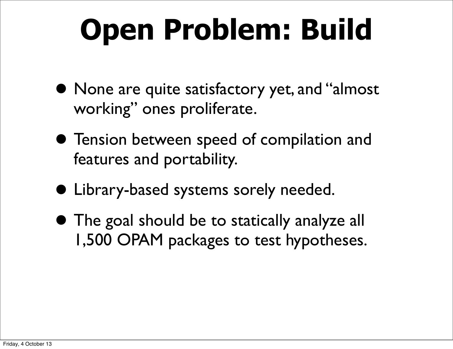### **Open Problem: Build**

- **•** None are quite satisfactory yet, and "almost working" ones proliferate.
- **•** Tension between speed of compilation and features and portability.
- **•** Library-based systems sorely needed.
- **•** The goal should be to statically analyze all 1,500 OPAM packages to test hypotheses.